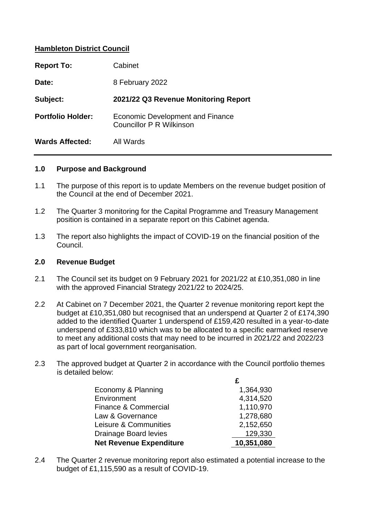# **Hambleton District Council**

| <b>Report To:</b>        | Cabinet                                                      |  |
|--------------------------|--------------------------------------------------------------|--|
| Date:                    | 8 February 2022                                              |  |
| Subject:                 | 2021/22 Q3 Revenue Monitoring Report                         |  |
| <b>Portfolio Holder:</b> | Economic Development and Finance<br>Councillor P R Wilkinson |  |
| <b>Wards Affected:</b>   | All Wards                                                    |  |

#### **1.0 Purpose and Background**

- 1.1 The purpose of this report is to update Members on the revenue budget position of the Council at the end of December 2021.
- 1.2 The Quarter 3 monitoring for the Capital Programme and Treasury Management position is contained in a separate report on this Cabinet agenda.
- 1.3 The report also highlights the impact of COVID-19 on the financial position of the Council.

#### **2.0 Revenue Budget**

- 2.1 The Council set its budget on 9 February 2021 for 2021/22 at £10,351,080 in line with the approved Financial Strategy 2021/22 to 2024/25.
- 2.2 At Cabinet on 7 December 2021, the Quarter 2 revenue monitoring report kept the budget at £10,351,080 but recognised that an underspend at Quarter 2 of £174,390 added to the identified Quarter 1 underspend of £159,420 resulted in a year-to-date underspend of £333,810 which was to be allocated to a specific earmarked reserve to meet any additional costs that may need to be incurred in 2021/22 and 2022/23 as part of local government reorganisation.
- 2.3 The approved budget at Quarter 2 in accordance with the Council portfolio themes is detailed below:

| Economy & Planning             | 1,364,930  |
|--------------------------------|------------|
| Environment                    | 4,314,520  |
| Finance & Commercial           | 1,110,970  |
| Law & Governance               | 1,278,680  |
| Leisure & Communities          | 2,152,650  |
| Drainage Board levies          | 129,330    |
| <b>Net Revenue Expenditure</b> | 10,351,080 |

2.4 The Quarter 2 revenue monitoring report also estimated a potential increase to the budget of £1,115,590 as a result of COVID-19.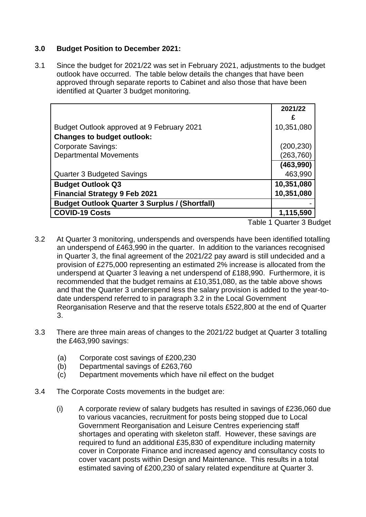# **3.0 Budget Position to December 2021:**

3.1 Since the budget for 2021/22 was set in February 2021, adjustments to the budget outlook have occurred. The table below details the changes that have been approved through separate reports to Cabinet and also those that have been identified at Quarter 3 budget monitoring.

|                                                       | 2021/22                                                                     |
|-------------------------------------------------------|-----------------------------------------------------------------------------|
|                                                       | £                                                                           |
| Budget Outlook approved at 9 February 2021            | 10,351,080                                                                  |
| <b>Changes to budget outlook:</b>                     |                                                                             |
| <b>Corporate Savings:</b>                             | (200, 230)                                                                  |
| <b>Departmental Movements</b>                         | (263, 760)                                                                  |
|                                                       | (463,990)                                                                   |
| Quarter 3 Budgeted Savings                            | 463,990                                                                     |
| <b>Budget Outlook Q3</b>                              | 10,351,080                                                                  |
| <b>Financial Strategy 9 Feb 2021</b>                  | 10,351,080                                                                  |
| <b>Budget Outlook Quarter 3 Surplus / (Shortfall)</b> |                                                                             |
| <b>COVID-19 Costs</b>                                 | 1,115,590                                                                   |
|                                                       | $T - L L = A \cdot \bigcap_{n \geq 1} A_n = A \cdot \bigcap_{n \geq 1} A_n$ |

Table 1 Quarter 3 Budget

- 3.2 At Quarter 3 monitoring, underspends and overspends have been identified totalling an underspend of £463,990 in the quarter. In addition to the variances recognised in Quarter 3, the final agreement of the 2021/22 pay award is still undecided and a provision of £275,000 representing an estimated 2% increase is allocated from the underspend at Quarter 3 leaving a net underspend of £188,990. Furthermore, it is recommended that the budget remains at £10,351,080, as the table above shows and that the Quarter 3 underspend less the salary provision is added to the year-todate underspend referred to in paragraph 3.2 in the Local Government Reorganisation Reserve and that the reserve totals £522,800 at the end of Quarter 3.
- 3.3 There are three main areas of changes to the 2021/22 budget at Quarter 3 totalling the £463,990 savings:
	- (a) Corporate cost savings of £200,230
	- (b) Departmental savings of £263,760
	- (c) Department movements which have nil effect on the budget
- 3.4 The Corporate Costs movements in the budget are:
	- (i) A corporate review of salary budgets has resulted in savings of £236,060 due to various vacancies, recruitment for posts being stopped due to Local Government Reorganisation and Leisure Centres experiencing staff shortages and operating with skeleton staff. However, these savings are required to fund an additional £35,830 of expenditure including maternity cover in Corporate Finance and increased agency and consultancy costs to cover vacant posts within Design and Maintenance. This results in a total estimated saving of £200,230 of salary related expenditure at Quarter 3.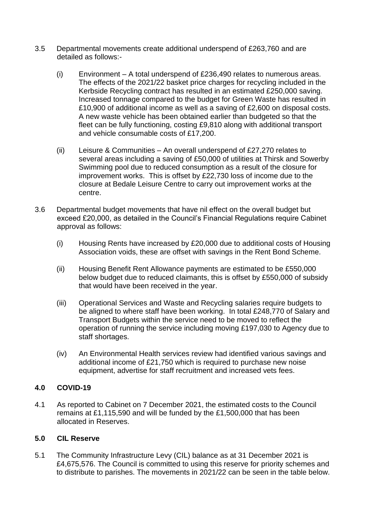- 3.5 Departmental movements create additional underspend of £263,760 and are detailed as follows:-
	- (i) Environment A total underspend of £236,490 relates to numerous areas. The effects of the 2021/22 basket price charges for recycling included in the Kerbside Recycling contract has resulted in an estimated £250,000 saving. Increased tonnage compared to the budget for Green Waste has resulted in £10,900 of additional income as well as a saving of £2,600 on disposal costs. A new waste vehicle has been obtained earlier than budgeted so that the fleet can be fully functioning, costing £9,810 along with additional transport and vehicle consumable costs of £17,200.
	- (ii) Leisure & Communities An overall underspend of  $£27,270$  relates to several areas including a saving of £50,000 of utilities at Thirsk and Sowerby Swimming pool due to reduced consumption as a result of the closure for improvement works. This is offset by £22,730 loss of income due to the closure at Bedale Leisure Centre to carry out improvement works at the centre.
- 3.6 Departmental budget movements that have nil effect on the overall budget but exceed £20,000, as detailed in the Council's Financial Regulations require Cabinet approval as follows:
	- (i) Housing Rents have increased by £20,000 due to additional costs of Housing Association voids, these are offset with savings in the Rent Bond Scheme.
	- (ii) Housing Benefit Rent Allowance payments are estimated to be £550,000 below budget due to reduced claimants, this is offset by £550,000 of subsidy that would have been received in the year.
	- (iii) Operational Services and Waste and Recycling salaries require budgets to be aligned to where staff have been working. In total £248,770 of Salary and Transport Budgets within the service need to be moved to reflect the operation of running the service including moving £197,030 to Agency due to staff shortages.
	- (iv) An Environmental Health services review had identified various savings and additional income of £21,750 which is required to purchase new noise equipment, advertise for staff recruitment and increased vets fees.

# **4.0 COVID-19**

4.1 As reported to Cabinet on 7 December 2021, the estimated costs to the Council remains at £1,115,590 and will be funded by the £1,500,000 that has been allocated in Reserves.

# **5.0 CIL Reserve**

5.1 The Community Infrastructure Levy (CIL) balance as at 31 December 2021 is £4,675,576. The Council is committed to using this reserve for priority schemes and to distribute to parishes. The movements in 2021/22 can be seen in the table below.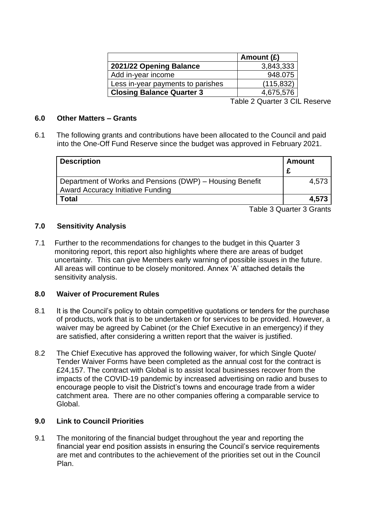|                                   | Amount $(E)$ |
|-----------------------------------|--------------|
| 2021/22 Opening Balance           | 3,843,333    |
| Add in-year income                | 948.075      |
| Less in-year payments to parishes | (115, 832)   |
| <b>Closing Balance Quarter 3</b>  | 4,675,576    |
|                                   |              |

Table 2 Quarter 3 CIL Reserve

#### **6.0 Other Matters – Grants**

6.1 The following grants and contributions have been allocated to the Council and paid into the One-Off Fund Reserve since the budget was approved in February 2021.

| <b>Description</b>                                       | <b>Amount</b> |
|----------------------------------------------------------|---------------|
|                                                          |               |
| Department of Works and Pensions (DWP) - Housing Benefit | 4.573         |
| <b>Award Accuracy Initiative Funding</b>                 |               |
| Total                                                    | 4.573         |

Table 3 Quarter 3 Grants

## **7.0 Sensitivity Analysis**

7.1 Further to the recommendations for changes to the budget in this Quarter 3 monitoring report, this report also highlights where there are areas of budget uncertainty. This can give Members early warning of possible issues in the future. All areas will continue to be closely monitored. Annex 'A' attached details the sensitivity analysis.

## **8.0 Waiver of Procurement Rules**

- 8.1 It is the Council's policy to obtain competitive quotations or tenders for the purchase of products, work that is to be undertaken or for services to be provided. However, a waiver may be agreed by Cabinet (or the Chief Executive in an emergency) if they are satisfied, after considering a written report that the waiver is justified.
- 8.2 The Chief Executive has approved the following waiver, for which Single Quote/ Tender Waiver Forms have been completed as the annual cost for the contract is £24,157. The contract with Global is to assist local businesses recover from the impacts of the COVID-19 pandemic by increased advertising on radio and buses to encourage people to visit the District's towns and encourage trade from a wider catchment area. There are no other companies offering a comparable service to Global.

#### **9.0 Link to Council Priorities**

9.1 The monitoring of the financial budget throughout the year and reporting the financial year end position assists in ensuring the Council's service requirements are met and contributes to the achievement of the priorities set out in the Council Plan.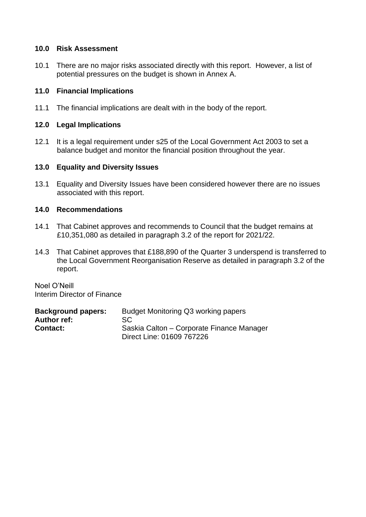## **10.0 Risk Assessment**

10.1 There are no major risks associated directly with this report. However, a list of potential pressures on the budget is shown in Annex A.

## **11.0 Financial Implications**

11.1 The financial implications are dealt with in the body of the report.

## **12.0 Legal Implications**

12.1 It is a legal requirement under s25 of the Local Government Act 2003 to set a balance budget and monitor the financial position throughout the year.

## **13.0 Equality and Diversity Issues**

13.1 Equality and Diversity Issues have been considered however there are no issues associated with this report.

## **14.0 Recommendations**

- 14.1 That Cabinet approves and recommends to Council that the budget remains at £10,351,080 as detailed in paragraph 3.2 of the report for 2021/22.
- 14.3 That Cabinet approves that £188,890 of the Quarter 3 underspend is transferred to the Local Government Reorganisation Reserve as detailed in paragraph 3.2 of the report.

Noel O'Neill Interim Director of Finance

| <b>Background papers:</b> | Budget Monitoring Q3 working papers       |
|---------------------------|-------------------------------------------|
| <b>Author ref:</b>        | SC.                                       |
| <b>Contact:</b>           | Saskia Calton – Corporate Finance Manager |
|                           | Direct Line: 01609 767226                 |